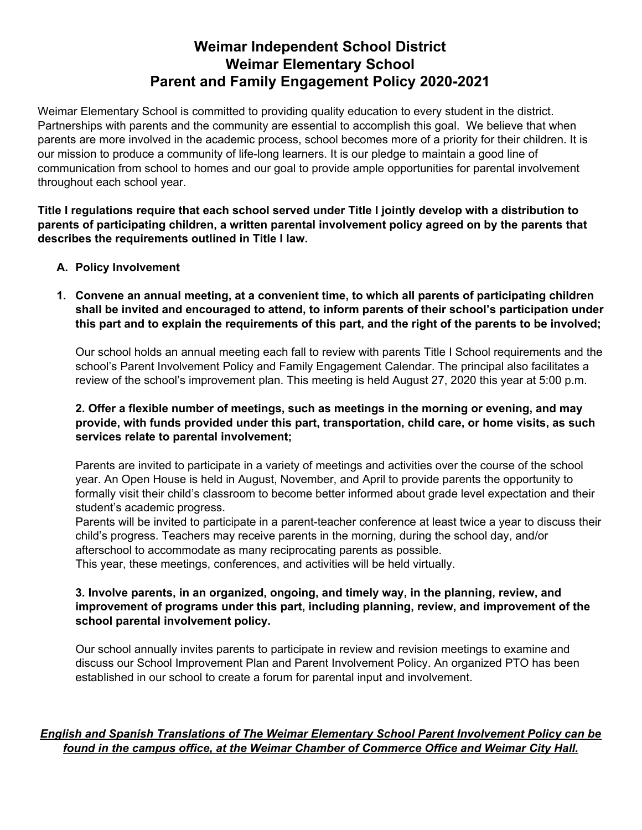# **Weimar Independent School District Weimar Elementary School Parent and Family Engagement Policy 2020-2021**

Weimar Elementary School is committed to providing quality education to every student in the district. Partnerships with parents and the community are essential to accomplish this goal. We believe that when parents are more involved in the academic process, school becomes more of a priority for their children. It is our mission to produce a community of life-long learners. It is our pledge to maintain a good line of communication from school to homes and our goal to provide ample opportunities for parental involvement throughout each school year.

**Title I regulations require that each school served under Title I jointly develop with a distribution to parents of participating children, a written parental involvement policy agreed on by the parents that describes the requirements outlined in Title I law.**

## **A. Policy Involvement**

**1. Convene an annual meeting, at a convenient time, to which all parents of participating children shall be invited and encouraged to attend, to inform parents of their school's participation under** this part and to explain the requirements of this part, and the right of the parents to be involved;

Our school holds an annual meeting each fall to review with parents Title I School requirements and the school's Parent Involvement Policy and Family Engagement Calendar. The principal also facilitates a review of the school's improvement plan. This meeting is held August 27, 2020 this year at 5:00 p.m.

## **2. Offer a flexible number of meetings, such as meetings in the morning or evening, and may provide, with funds provided under this part, transportation, child care, or home visits, as such services relate to parental involvement;**

Parents are invited to participate in a variety of meetings and activities over the course of the school year. An Open House is held in August, November, and April to provide parents the opportunity to formally visit their child's classroom to become better informed about grade level expectation and their student's academic progress.

Parents will be invited to participate in a parent-teacher conference at least twice a year to discuss their child's progress. Teachers may receive parents in the morning, during the school day, and/or afterschool to accommodate as many reciprocating parents as possible.

This year, these meetings, conferences, and activities will be held virtually.

## **3. Involve parents, in an organized, ongoing, and timely way, in the planning, review, and improvement of programs under this part, including planning, review, and improvement of the school parental involvement policy.**

Our school annually invites parents to participate in review and revision meetings to examine and discuss our School Improvement Plan and Parent Involvement Policy. An organized PTO has been established in our school to create a forum for parental input and involvement.

## *English and Spanish Translations of The Weimar Elementary School Parent Involvement Policy can be found in the campus office, at the Weimar Chamber of Commerce Office and Weimar City Hall.*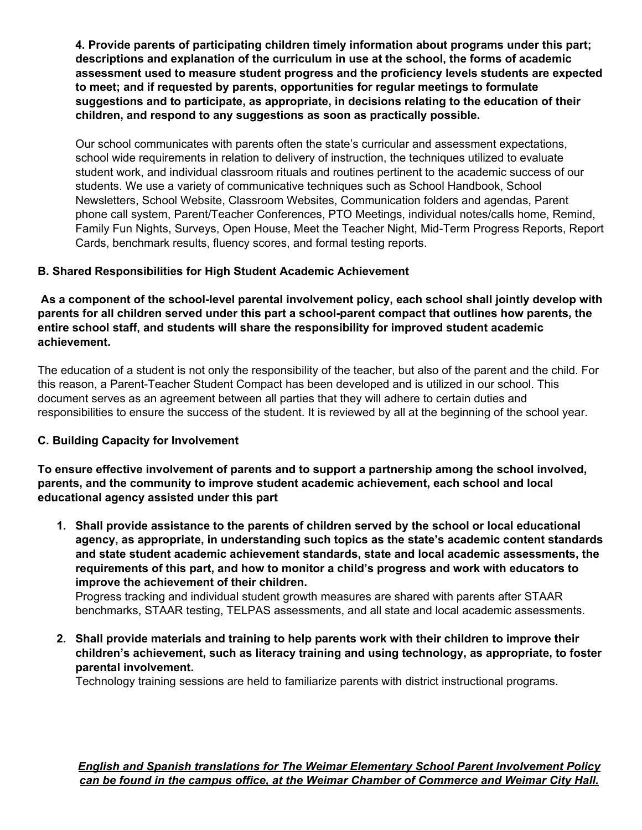**4. Provide parents of participating children timely information about programs under this part; descriptions and explanation of the curriculum in use at the school, the forms of academic assessment used to measure student progress and the proficiency levels students are expected to meet; and if requested by parents, opportunities for regular meetings to formulate suggestions and to participate, as appropriate, in decisions relating to the education of their children, and respond to any suggestions as soon as practically possible.**

Our school communicates with parents often the state's curricular and assessment expectations, school wide requirements in relation to delivery of instruction, the techniques utilized to evaluate student work, and individual classroom rituals and routines pertinent to the academic success of our students. We use a variety of communicative techniques such as School Handbook, School Newsletters, School Website, Classroom Websites, Communication folders and agendas, Parent phone call system, Parent/Teacher Conferences, PTO Meetings, individual notes/calls home, Remind, Family Fun Nights, Surveys, Open House, Meet the Teacher Night, Mid-Term Progress Reports, Report Cards, benchmark results, fluency scores, and formal testing reports.

# **B. Shared Responsibilities for High Student Academic Achievement**

**As a component of the school-level parental involvement policy, each school shall jointly develop with parents for all children served under this part a school-parent compact that outlines how parents, the entire school staff, and students will share the responsibility for improved student academic achievement.**

The education of a student is not only the responsibility of the teacher, but also of the parent and the child. For this reason, a Parent-Teacher Student Compact has been developed and is utilized in our school. This document serves as an agreement between all parties that they will adhere to certain duties and responsibilities to ensure the success of the student. It is reviewed by all at the beginning of the school year.

## **C. Building Capacity for Involvement**

**To ensure effective involvement of parents and to support a partnership among the school involved, parents, and the community to improve student academic achievement, each school and local educational agency assisted under this part**

**1. Shall provide assistance to the parents of children served by the school or local educational agency, as appropriate, in understanding such topics as the state's academic content standards and state student academic achievement standards, state and local academic assessments, the requirements of this part, and how to monitor a child's progress and work with educators to improve the achievement of their children.**

Progress tracking and individual student growth measures are shared with parents after STAAR benchmarks, STAAR testing, TELPAS assessments, and all state and local academic assessments.

**2. Shall provide materials and training to help parents work with their children to improve their children's achievement, such as literacy training and using technology, as appropriate, to foster parental involvement.**

Technology training sessions are held to familiarize parents with district instructional programs.